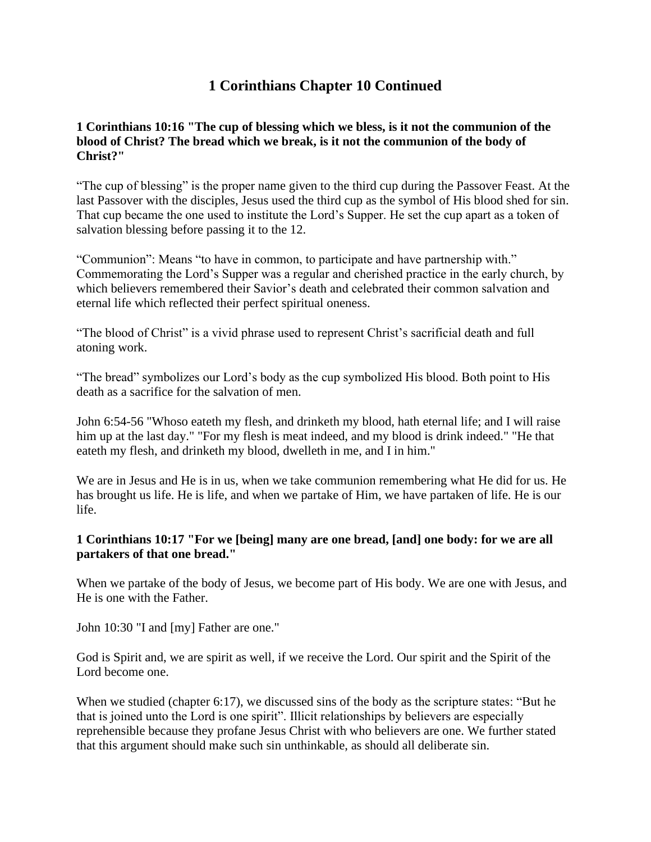# **1 Corinthians Chapter 10 Continued**

### **1 Corinthians 10:16 "The cup of blessing which we bless, is it not the communion of the blood of Christ? The bread which we break, is it not the communion of the body of Christ?"**

"The cup of blessing" is the proper name given to the third cup during the Passover Feast. At the last Passover with the disciples, Jesus used the third cup as the symbol of His blood shed for sin. That cup became the one used to institute the Lord's Supper. He set the cup apart as a token of salvation blessing before passing it to the 12.

"Communion": Means "to have in common, to participate and have partnership with." Commemorating the Lord's Supper was a regular and cherished practice in the early church, by which believers remembered their Savior's death and celebrated their common salvation and eternal life which reflected their perfect spiritual oneness.

"The blood of Christ" is a vivid phrase used to represent Christ's sacrificial death and full atoning work.

"The bread" symbolizes our Lord's body as the cup symbolized His blood. Both point to His death as a sacrifice for the salvation of men.

John 6:54-56 "Whoso eateth my flesh, and drinketh my blood, hath eternal life; and I will raise him up at the last day." "For my flesh is meat indeed, and my blood is drink indeed." "He that eateth my flesh, and drinketh my blood, dwelleth in me, and I in him."

We are in Jesus and He is in us, when we take communion remembering what He did for us. He has brought us life. He is life, and when we partake of Him, we have partaken of life. He is our life.

#### **1 Corinthians 10:17 "For we [being] many are one bread, [and] one body: for we are all partakers of that one bread."**

When we partake of the body of Jesus, we become part of His body. We are one with Jesus, and He is one with the Father.

John 10:30 "I and [my] Father are one."

God is Spirit and, we are spirit as well, if we receive the Lord. Our spirit and the Spirit of the Lord become one.

When we studied (chapter 6:17), we discussed sins of the body as the scripture states: "But he that is joined unto the Lord is one spirit". Illicit relationships by believers are especially reprehensible because they profane Jesus Christ with who believers are one. We further stated that this argument should make such sin unthinkable, as should all deliberate sin.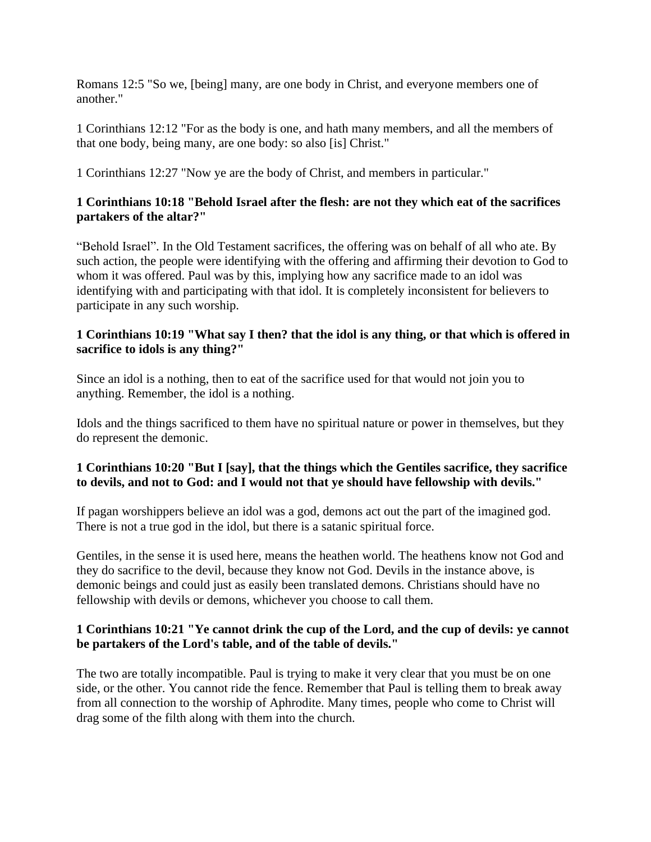Romans 12:5 "So we, [being] many, are one body in Christ, and everyone members one of another."

1 Corinthians 12:12 "For as the body is one, and hath many members, and all the members of that one body, being many, are one body: so also [is] Christ."

1 Corinthians 12:27 "Now ye are the body of Christ, and members in particular."

## **1 Corinthians 10:18 "Behold Israel after the flesh: are not they which eat of the sacrifices partakers of the altar?"**

"Behold Israel". In the Old Testament sacrifices, the offering was on behalf of all who ate. By such action, the people were identifying with the offering and affirming their devotion to God to whom it was offered. Paul was by this, implying how any sacrifice made to an idol was identifying with and participating with that idol. It is completely inconsistent for believers to participate in any such worship.

### **1 Corinthians 10:19 "What say I then? that the idol is any thing, or that which is offered in sacrifice to idols is any thing?"**

Since an idol is a nothing, then to eat of the sacrifice used for that would not join you to anything. Remember, the idol is a nothing.

Idols and the things sacrificed to them have no spiritual nature or power in themselves, but they do represent the demonic.

# **1 Corinthians 10:20 "But I [say], that the things which the Gentiles sacrifice, they sacrifice to devils, and not to God: and I would not that ye should have fellowship with devils."**

If pagan worshippers believe an idol was a god, demons act out the part of the imagined god. There is not a true god in the idol, but there is a satanic spiritual force.

Gentiles, in the sense it is used here, means the heathen world. The heathens know not God and they do sacrifice to the devil, because they know not God. Devils in the instance above, is demonic beings and could just as easily been translated demons. Christians should have no fellowship with devils or demons, whichever you choose to call them.

### **1 Corinthians 10:21 "Ye cannot drink the cup of the Lord, and the cup of devils: ye cannot be partakers of the Lord's table, and of the table of devils."**

The two are totally incompatible. Paul is trying to make it very clear that you must be on one side, or the other. You cannot ride the fence. Remember that Paul is telling them to break away from all connection to the worship of Aphrodite. Many times, people who come to Christ will drag some of the filth along with them into the church.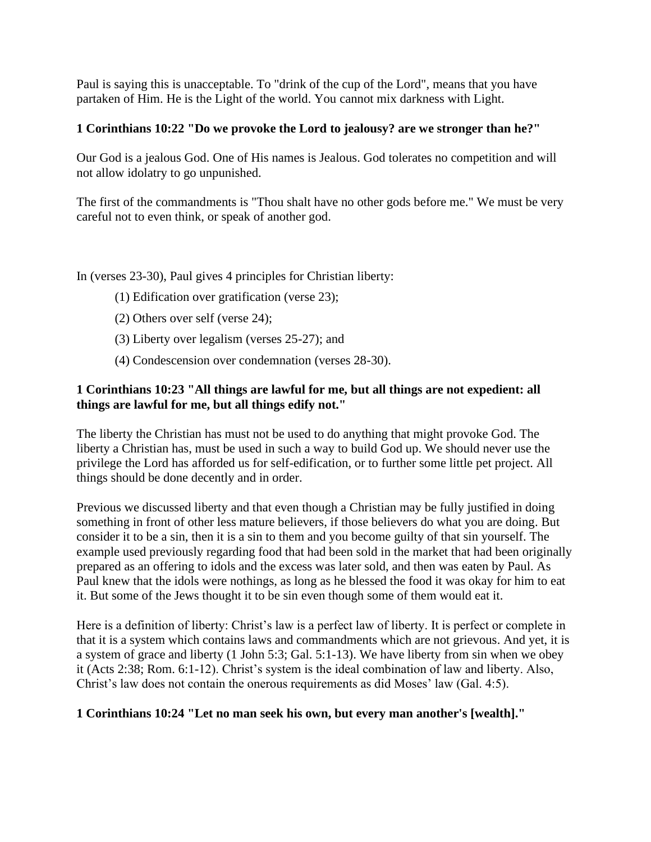Paul is saying this is unacceptable. To "drink of the cup of the Lord", means that you have partaken of Him. He is the Light of the world. You cannot mix darkness with Light.

## **1 Corinthians 10:22 "Do we provoke the Lord to jealousy? are we stronger than he?"**

Our God is a jealous God. One of His names is Jealous. God tolerates no competition and will not allow idolatry to go unpunished.

The first of the commandments is "Thou shalt have no other gods before me." We must be very careful not to even think, or speak of another god.

In (verses 23-30), Paul gives 4 principles for Christian liberty:

- (1) Edification over gratification (verse 23);
- (2) Others over self (verse 24);
- (3) Liberty over legalism (verses 25-27); and
- (4) Condescension over condemnation (verses 28-30).

## **1 Corinthians 10:23 "All things are lawful for me, but all things are not expedient: all things are lawful for me, but all things edify not."**

The liberty the Christian has must not be used to do anything that might provoke God. The liberty a Christian has, must be used in such a way to build God up. We should never use the privilege the Lord has afforded us for self-edification, or to further some little pet project. All things should be done decently and in order.

Previous we discussed liberty and that even though a Christian may be fully justified in doing something in front of other less mature believers, if those believers do what you are doing. But consider it to be a sin, then it is a sin to them and you become guilty of that sin yourself. The example used previously regarding food that had been sold in the market that had been originally prepared as an offering to idols and the excess was later sold, and then was eaten by Paul. As Paul knew that the idols were nothings, as long as he blessed the food it was okay for him to eat it. But some of the Jews thought it to be sin even though some of them would eat it.

Here is a definition of liberty: Christ's law is a perfect law of liberty. It is perfect or complete in that it is a system which contains laws and commandments which are not grievous. And yet, it is a system of grace and liberty (1 John 5:3; Gal. 5:1-13). We have liberty from sin when we obey it (Acts 2:38; Rom. 6:1-12). Christ's system is the ideal combination of law and liberty. Also, Christ's law does not contain the onerous requirements as did Moses' law (Gal. 4:5).

# **1 Corinthians 10:24 "Let no man seek his own, but every man another's [wealth]."**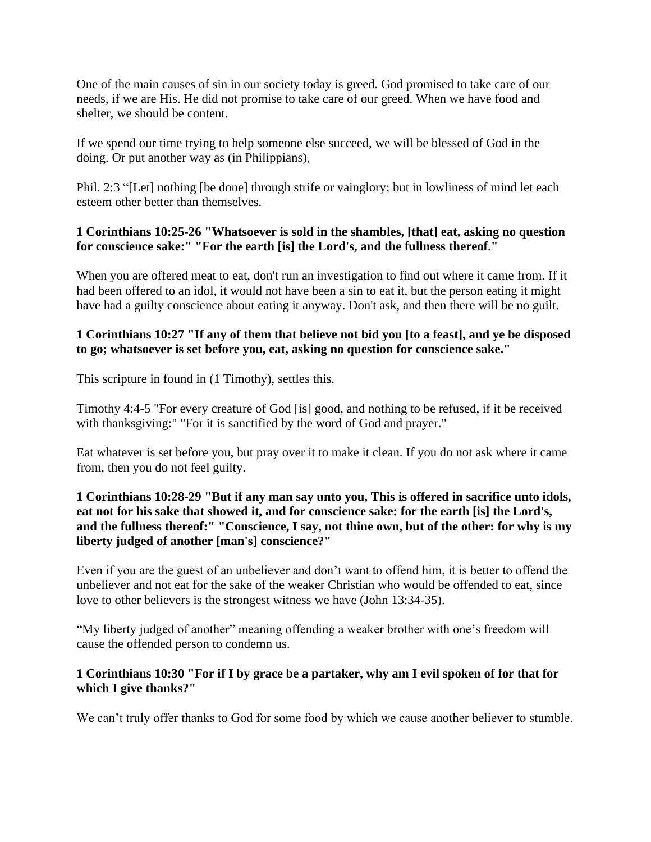One of the main causes of sin in our society today is greed. God promised to take care of our needs, if we are His. He did not promise to take care of our greed. When we have food and shelter, we should be content.

If we spend our time trying to help someone else succeed, we will be blessed of God in the doing. Or put another way as (in Philippians),

Phil. 2:3 "[Let] nothing [be done] through strife or vainglory; but in lowliness of mind let each esteem other better than themselves.

# **1 Corinthians 10:25-26 "Whatsoever is sold in the shambles, [that] eat, asking no question for conscience sake:" "For the earth [is] the Lord's, and the fullness thereof."**

When you are offered meat to eat, don't run an investigation to find out where it came from. If it had been offered to an idol, it would not have been a sin to eat it, but the person eating it might have had a guilty conscience about eating it anyway. Don't ask, and then there will be no guilt.

## **1 Corinthians 10:27 "If any of them that believe not bid you [to a feast], and ye be disposed to go; whatsoever is set before you, eat, asking no question for conscience sake."**

This scripture in found in (1 Timothy), settles this.

Timothy 4:4-5 "For every creature of God [is] good, and nothing to be refused, if it be received with thanksgiving:" "For it is sanctified by the word of God and prayer."

Eat whatever is set before you, but pray over it to make it clean. If you do not ask where it came from, then you do not feel guilty.

## **1 Corinthians 10:28-29 "But if any man say unto you, This is offered in sacrifice unto idols, eat not for his sake that showed it, and for conscience sake: for the earth [is] the Lord's, and the fullness thereof:" "Conscience, I say, not thine own, but of the other: for why is my liberty judged of another [man's] conscience?"**

Even if you are the guest of an unbeliever and don't want to offend him, it is better to offend the unbeliever and not eat for the sake of the weaker Christian who would be offended to eat, since love to other believers is the strongest witness we have (John 13:34-35).

"My liberty judged of another" meaning offending a weaker brother with one's freedom will cause the offended person to condemn us.

### **1 Corinthians 10:30 "For if I by grace be a partaker, why am I evil spoken of for that for which I give thanks?"**

We can't truly offer thanks to God for some food by which we cause another believer to stumble.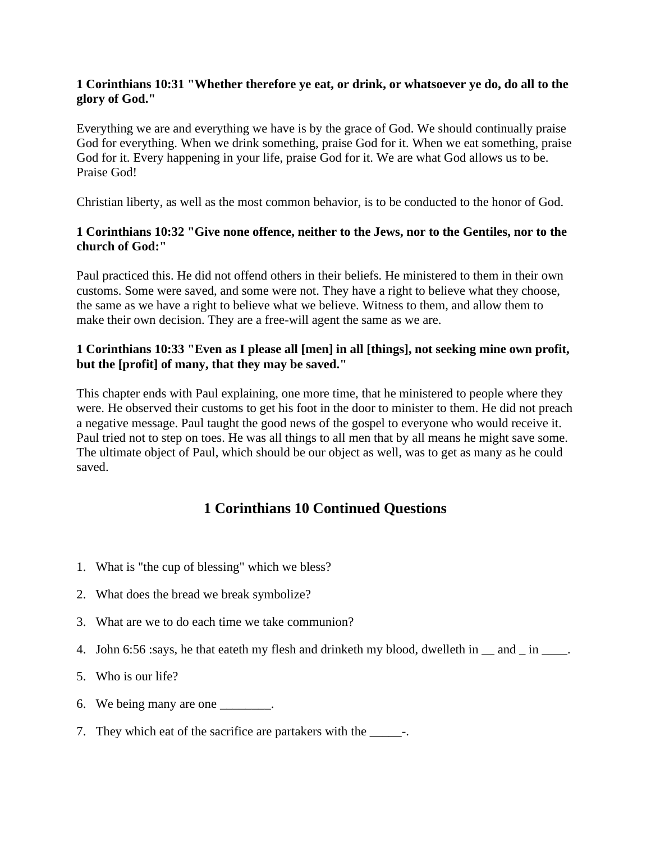### **1 Corinthians 10:31 "Whether therefore ye eat, or drink, or whatsoever ye do, do all to the glory of God."**

Everything we are and everything we have is by the grace of God. We should continually praise God for everything. When we drink something, praise God for it. When we eat something, praise God for it. Every happening in your life, praise God for it. We are what God allows us to be. Praise God!

Christian liberty, as well as the most common behavior, is to be conducted to the honor of God.

## **1 Corinthians 10:32 "Give none offence, neither to the Jews, nor to the Gentiles, nor to the church of God:"**

Paul practiced this. He did not offend others in their beliefs. He ministered to them in their own customs. Some were saved, and some were not. They have a right to believe what they choose, the same as we have a right to believe what we believe. Witness to them, and allow them to make their own decision. They are a free-will agent the same as we are.

# **1 Corinthians 10:33 "Even as I please all [men] in all [things], not seeking mine own profit, but the [profit] of many, that they may be saved."**

This chapter ends with Paul explaining, one more time, that he ministered to people where they were. He observed their customs to get his foot in the door to minister to them. He did not preach a negative message. Paul taught the good news of the gospel to everyone who would receive it. Paul tried not to step on toes. He was all things to all men that by all means he might save some. The ultimate object of Paul, which should be our object as well, was to get as many as he could saved.

# **1 Corinthians 10 Continued Questions**

- 1. What is "the cup of blessing" which we bless?
- 2. What does the bread we break symbolize?
- 3. What are we to do each time we take communion?
- 4. John 6:56 :says, he that eateth my flesh and drinketh my blood, dwelleth in  $\equiv$  and  $\equiv$  in  $\equiv$ .
- 5. Who is our life?
- 6. We being many are one the set of  $\sim$
- 7. They which eat of the sacrifice are partakers with the \_\_\_\_\_\_\_\_\_.